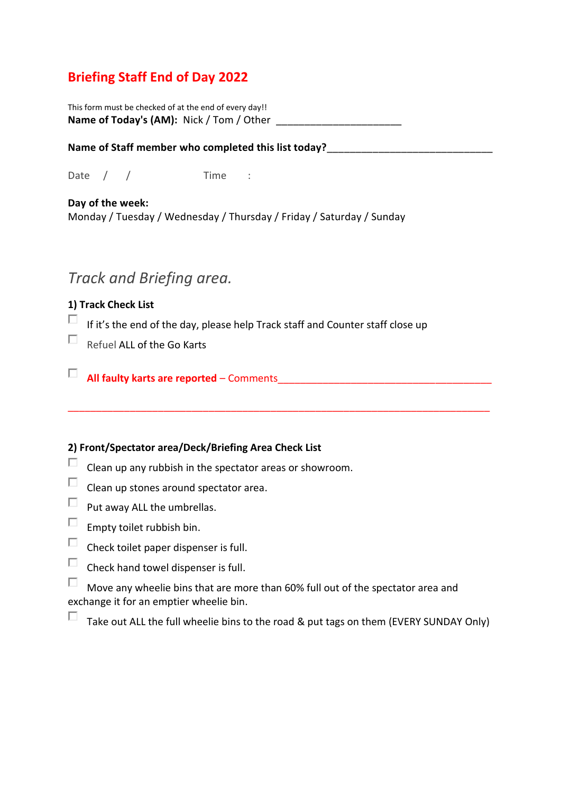### **Briefing Staff End of Day 2022**

This form must be checked of at the end of every day!! **Name of Today's (AM):** Nick / Tom / Other

Name of Staff member who completed this list today?

Date / / Time :

**Day of the week:** Monday / Tuesday / Wednesday / Thursday / Friday / Saturday / Sunday

## *Track and Briefing area.*

#### **1) Track Check List**

 $\Box$ If it's the end of the day, please help Track staff and Counter staff close up

\_\_\_\_\_\_\_\_\_\_\_\_\_\_\_\_\_\_\_\_\_\_\_\_\_\_\_\_\_\_\_\_\_\_\_\_\_\_\_\_\_\_\_\_\_\_\_\_\_\_\_\_\_\_\_\_\_\_\_\_\_\_\_\_\_\_\_\_\_\_\_\_\_\_\_

- $\Box$ Refuel ALL of the Go Karts
- **All faulty karts are reported** Comments\_\_\_\_\_\_\_\_\_\_\_\_\_\_\_\_\_\_\_\_\_\_\_\_\_\_\_\_\_\_\_\_\_\_\_\_\_\_

#### **2) Front/Spectator area/Deck/Briefing Area Check List**

- П Clean up any rubbish in the spectator areas or showroom.
- $\Box$ Clean up stones around spectator area.
- $\Box$ Put away ALL the umbrellas.
- $\Box$ Empty toilet rubbish bin.
- $\Box$ Check toilet paper dispenser is full.
- $\Box$ Check hand towel dispenser is full.

 $\Box$ Move any wheelie bins that are more than 60% full out of the spectator area and exchange it for an emptier wheelie bin.

П Take out ALL the full wheelie bins to the road & put tags on them (EVERY SUNDAY Only)